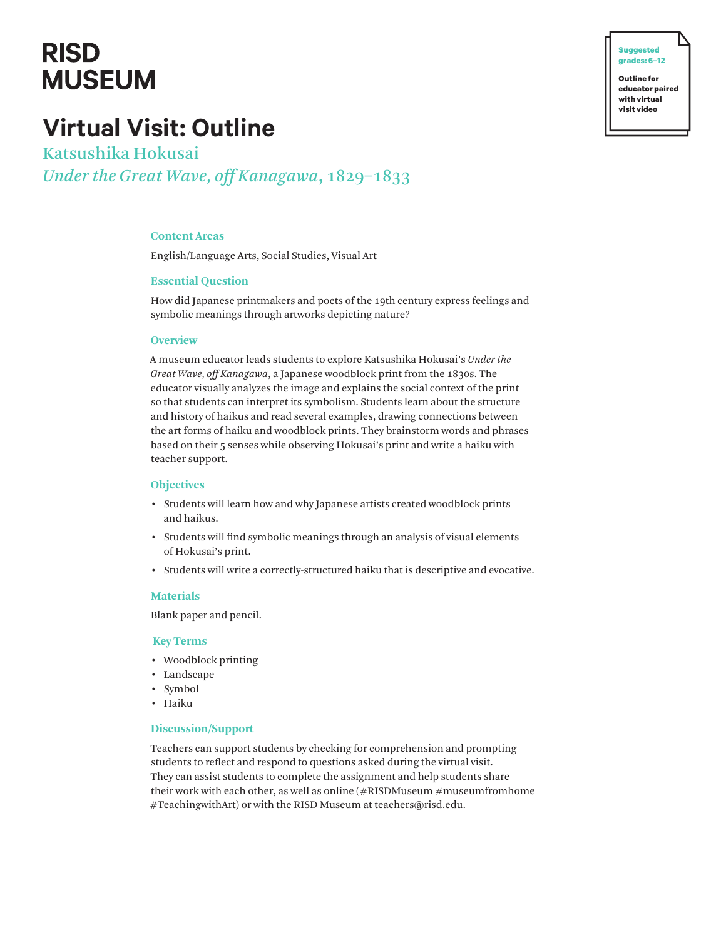# **RISD MUSEUM**

## **Virtual Visit: Outline**

Katsushika Hokusai *Under the Great Wave, off Kanagawa*, 1829–1833

## **Content Areas**

English/Language Arts, Social Studies, Visual Art

## **Essential Question**

How did Japanese printmakers and poets of the 19th century express feelings and symbolic meanings through artworks depicting nature?

#### **Overview**

A museum educator leads students to explore Katsushika Hokusai's *Under the Great Wave, off Kanagawa*, a Japanese woodblock print from the 1830s. The educator visually analyzes the image and explains the social context of the print so that students can interpret its symbolism. Students learn about the structure and history of haikus and read several examples, drawing connections between the art forms of haiku and woodblock prints. They brainstorm words and phrases based on their 5 senses while observing Hokusai's print and write a haiku with teacher support.

#### **Objectives**

- Students will learn how and why Japanese artists created woodblock prints and haikus.
- Students will find symbolic meanings through an analysis of visual elements of Hokusai's print.
- Students will write a correctly-structured haiku that is descriptive and evocative.

#### **Materials**

Blank paper and pencil.

#### **Key Terms**

- Woodblock printing
- Landscape
- Symbol
- Haiku

## **Discussion/Support**

Teachers can support students by checking for comprehension and prompting students to reflect and respond to questions asked during the virtual visit. They can assist students to complete the assignment and help students share their work with each other, as well as online  $(\#RISDMuseum \#museumfromhome)$ #TeachingwithArt) or with the RISD Museum at teachers@risd.edu.

**Outline for educator paired with virtual visit video**

**� Suggested grades: 6–12**